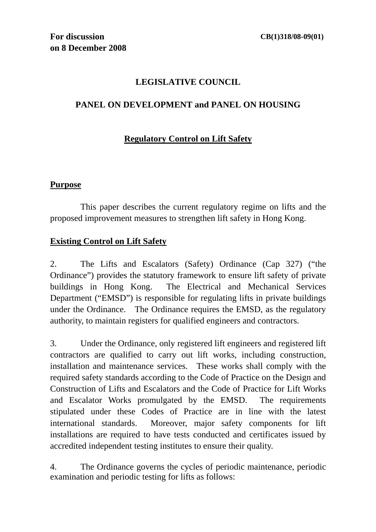## **LEGISLATIVE COUNCIL**

#### **PANEL ON DEVELOPMENT and PANEL ON HOUSING**

## **Regulatory Control on Lift Safety**

#### **Purpose**

 This paper describes the current regulatory regime on lifts and the proposed improvement measures to strengthen lift safety in Hong Kong.

## **Existing Control on Lift Safety**

2. The Lifts and Escalators (Safety) Ordinance (Cap 327) ("the Ordinance") provides the statutory framework to ensure lift safety of private buildings in Hong Kong. The Electrical and Mechanical Services Department ("EMSD") is responsible for regulating lifts in private buildings under the Ordinance. The Ordinance requires the EMSD, as the regulatory authority, to maintain registers for qualified engineers and contractors.

3. Under the Ordinance, only registered lift engineers and registered lift contractors are qualified to carry out lift works, including construction, installation and maintenance services. These works shall comply with the required safety standards according to the Code of Practice on the Design and Construction of Lifts and Escalators and the Code of Practice for Lift Works and Escalator Works promulgated by the EMSD. The requirements stipulated under these Codes of Practice are in line with the latest international standards. Moreover, major safety components for lift installations are required to have tests conducted and certificates issued by accredited independent testing institutes to ensure their quality.

4. The Ordinance governs the cycles of periodic maintenance, periodic examination and periodic testing for lifts as follows: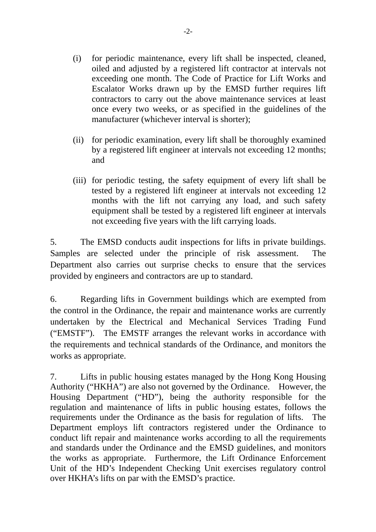- (i) for periodic maintenance, every lift shall be inspected, cleaned, oiled and adjusted by a registered lift contractor at intervals not exceeding one month. The Code of Practice for Lift Works and Escalator Works drawn up by the EMSD further requires lift contractors to carry out the above maintenance services at least once every two weeks, or as specified in the guidelines of the manufacturer (whichever interval is shorter);
- (ii) for periodic examination, every lift shall be thoroughly examined by a registered lift engineer at intervals not exceeding 12 months; and
- (iii) for periodic testing, the safety equipment of every lift shall be tested by a registered lift engineer at intervals not exceeding 12 months with the lift not carrying any load, and such safety equipment shall be tested by a registered lift engineer at intervals not exceeding five years with the lift carrying loads.

5. The EMSD conducts audit inspections for lifts in private buildings. Samples are selected under the principle of risk assessment. The Department also carries out surprise checks to ensure that the services provided by engineers and contractors are up to standard.

6. Regarding lifts in Government buildings which are exempted from the control in the Ordinance, the repair and maintenance works are currently undertaken by the Electrical and Mechanical Services Trading Fund ("EMSTF"). The EMSTF arranges the relevant works in accordance with the requirements and technical standards of the Ordinance, and monitors the works as appropriate.

7. Lifts in public housing estates managed by the Hong Kong Housing Authority ("HKHA") are also not governed by the Ordinance. However, the Housing Department ("HD"), being the authority responsible for the regulation and maintenance of lifts in public housing estates, follows the requirements under the Ordinance as the basis for regulation of lifts. The Department employs lift contractors registered under the Ordinance to conduct lift repair and maintenance works according to all the requirements and standards under the Ordinance and the EMSD guidelines, and monitors the works as appropriate. Furthermore, the Lift Ordinance Enforcement Unit of the HD's Independent Checking Unit exercises regulatory control over HKHA's lifts on par with the EMSD's practice.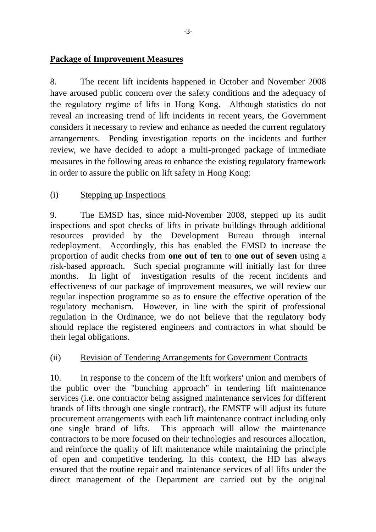#### **Package of Improvement Measures**

8. The recent lift incidents happened in October and November 2008 have aroused public concern over the safety conditions and the adequacy of the regulatory regime of lifts in Hong Kong. Although statistics do not reveal an increasing trend of lift incidents in recent years, the Government considers it necessary to review and enhance as needed the current regulatory arrangements. Pending investigation reports on the incidents and further review, we have decided to adopt a multi-pronged package of immediate measures in the following areas to enhance the existing regulatory framework in order to assure the public on lift safety in Hong Kong:

## (i) Stepping up Inspections

9. The EMSD has, since mid-November 2008, stepped up its audit inspections and spot checks of lifts in private buildings through additional resources provided by the Development Bureau through internal redeployment. Accordingly, this has enabled the EMSD to increase the proportion of audit checks from **one out of ten** to **one out of seven** using a risk-based approach. Such special programme will initially last for three months. In light of investigation results of the recent incidents and effectiveness of our package of improvement measures, we will review our regular inspection programme so as to ensure the effective operation of the regulatory mechanism. However, in line with the spirit of professional regulation in the Ordinance, we do not believe that the regulatory body should replace the registered engineers and contractors in what should be their legal obligations.

## (ii) Revision of Tendering Arrangements for Government Contracts

10. In response to the concern of the lift workers' union and members of the public over the "bunching approach" in tendering lift maintenance services (i.e. one contractor being assigned maintenance services for different brands of lifts through one single contract), the EMSTF will adjust its future procurement arrangements with each lift maintenance contract including only one single brand of lifts. This approach will allow the maintenance contractors to be more focused on their technologies and resources allocation, and reinforce the quality of lift maintenance while maintaining the principle of open and competitive tendering. In this context, the HD has always ensured that the routine repair and maintenance services of all lifts under the direct management of the Department are carried out by the original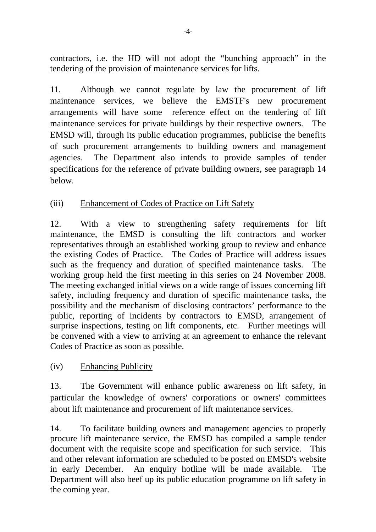contractors, i.e. the HD will not adopt the "bunching approach" in the tendering of the provision of maintenance services for lifts.

11. Although we cannot regulate by law the procurement of lift maintenance services, we believe the EMSTF's new procurement arrangements will have some reference effect on the tendering of lift maintenance services for private buildings by their respective owners. The EMSD will, through its public education programmes, publicise the benefits of such procurement arrangements to building owners and management agencies. The Department also intends to provide samples of tender specifications for the reference of private building owners, see paragraph 14 below.

## (iii) Enhancement of Codes of Practice on Lift Safety

12. With a view to strengthening safety requirements for lift maintenance, the EMSD is consulting the lift contractors and worker representatives through an established working group to review and enhance the existing Codes of Practice. The Codes of Practice will address issues such as the frequency and duration of specified maintenance tasks. The working group held the first meeting in this series on 24 November 2008. The meeting exchanged initial views on a wide range of issues concerning lift safety, including frequency and duration of specific maintenance tasks, the possibility and the mechanism of disclosing contractors' performance to the public, reporting of incidents by contractors to EMSD, arrangement of surprise inspections, testing on lift components, etc. Further meetings will be convened with a view to arriving at an agreement to enhance the relevant Codes of Practice as soon as possible.

#### (iv) Enhancing Publicity

13. The Government will enhance public awareness on lift safety, in particular the knowledge of owners' corporations or owners' committees about lift maintenance and procurement of lift maintenance services.

14. To facilitate building owners and management agencies to properly procure lift maintenance service, the EMSD has compiled a sample tender document with the requisite scope and specification for such service. This and other relevant information are scheduled to be posted on EMSD's website in early December. An enquiry hotline will be made available. The Department will also beef up its public education programme on lift safety in the coming year.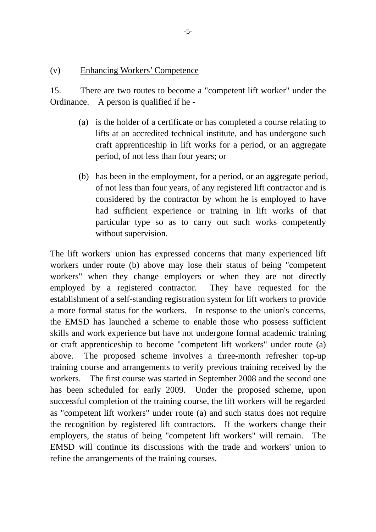#### (v) Enhancing Workers' Competence

15. There are two routes to become a "competent lift worker" under the Ordinance. A person is qualified if he -

- (a) is the holder of a certificate or has completed a course relating to lifts at an accredited technical institute, and has undergone such craft apprenticeship in lift works for a period, or an aggregate period, of not less than four years; or
- (b) has been in the employment, for a period, or an aggregate period, of not less than four years, of any registered lift contractor and is considered by the contractor by whom he is employed to have had sufficient experience or training in lift works of that particular type so as to carry out such works competently without supervision.

The lift workers' union has expressed concerns that many experienced lift workers under route (b) above may lose their status of being "competent workers" when they change employers or when they are not directly employed by a registered contractor. They have requested for the establishment of a self-standing registration system for lift workers to provide a more formal status for the workers. In response to the union's concerns, the EMSD has launched a scheme to enable those who possess sufficient skills and work experience but have not undergone formal academic training or craft apprenticeship to become "competent lift workers" under route (a) above. The proposed scheme involves a three-month refresher top-up training course and arrangements to verify previous training received by the workers. The first course was started in September 2008 and the second one has been scheduled for early 2009. Under the proposed scheme, upon successful completion of the training course, the lift workers will be regarded as "competent lift workers" under route (a) and such status does not require the recognition by registered lift contractors. If the workers change their employers, the status of being "competent lift workers" will remain. The EMSD will continue its discussions with the trade and workers' union to refine the arrangements of the training courses.